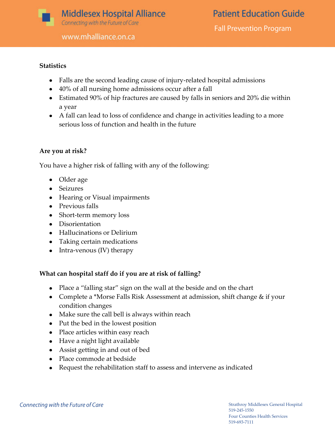

www.mhalliance.on.ca

## **Statistics**

- Falls are the second leading cause of injury-related hospital admissions
- 40% of all nursing home admissions occur after a fall
- Estimated 90% of hip fractures are caused by falls in seniors and 20% die within a year
- A fall can lead to loss of confidence and change in activities leading to a more serious loss of function and health in the future

### **Are you at risk?**

You have a higher risk of falling with any of the following:

- Older age
- Seizures
- Hearing or Visual impairments
- Previous falls
- Short-term memory loss
- Disorientation
- Hallucinations or Delirium
- Taking certain medications
- Intra-venous (IV) therapy

# **What can hospital staff do if you are at risk of falling?**

- Place a "falling star" sign on the wall at the beside and on the chart
- Complete a \*Morse Falls Risk Assessment at admission, shift change & if your condition changes
- Make sure the call bell is always within reach
- Put the bed in the lowest position
- Place articles within easy reach
- Have a night light available
- Assist getting in and out of bed
- Place commode at bedside
- Request the rehabilitation staff to assess and intervene as indicated